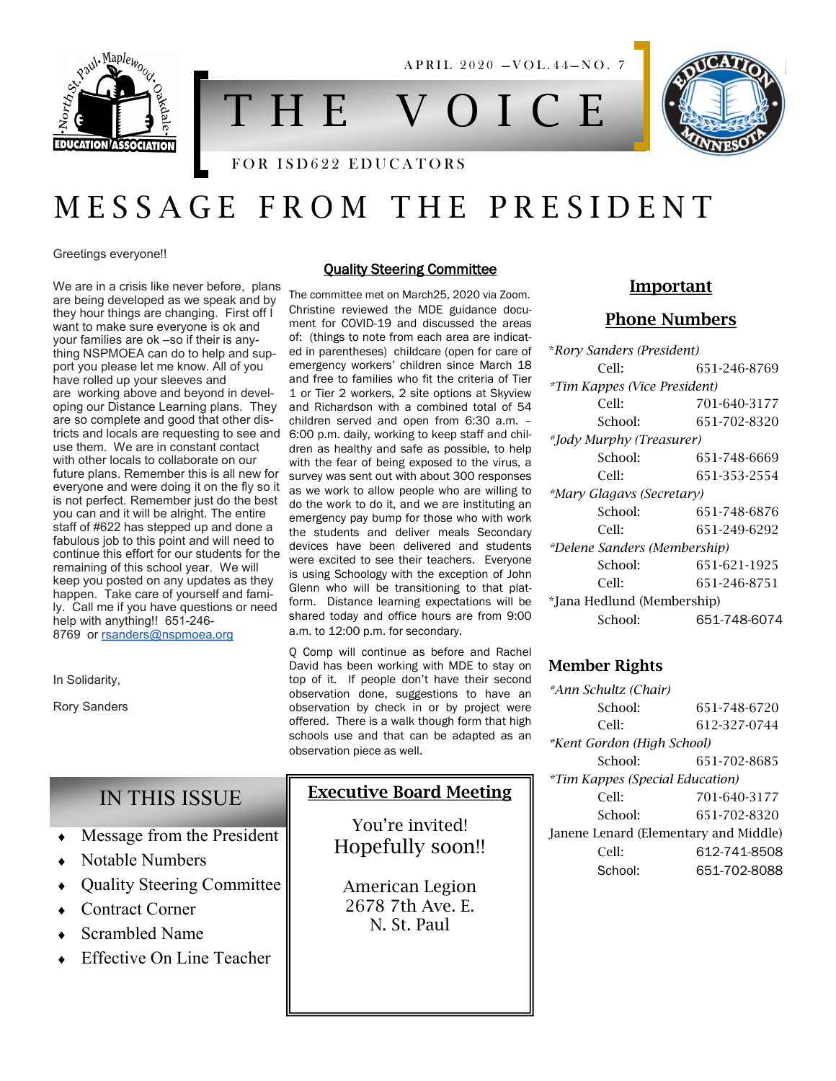

A P R I L 2020 - VOL. 44-NO. 7

# T H E V O I C E

#### FOR ISD622 EDUCATORS

## M E S S A G E F R O M T H E P R E S I D E N T

Greetings everyone!!

We are in a crisis like never before, plans are being developed as we speak and by they hour things are changing. First off I want to make sure everyone is ok and your families are ok –so if their is anything NSPMOEA can do to help and support you please let me know. All of you have rolled up your sleeves and are working above and beyond in developing our Distance Learning plans. They are so complete and good that other districts and locals are requesting to see and use them. We are in constant contact with other locals to collaborate on our future plans. Remember this is all new for everyone and were doing it on the fly so it is not perfect. Remember just do the best you can and it will be alright. The entire staff of #622 has stepped up and done a fabulous job to this point and will need to continue this effort for our students for the remaining of this school year. We will keep you posted on any updates as they happen. Take care of yourself and family. Call me if you have questions or need help with anything!! 651-246 8769 or [rsanders@nspmoea.org](mailto:rsanders@nspmoea.org)

In Solidarity,

Rory Sanders

#### Quality Steering Committee

The committee met on March25, 2020 via Zoom. Christine reviewed the MDE guidance document for COVID-19 and discussed the areas of: (things to note from each area are indicated in parentheses) childcare (open for care of emergency workers' children since March 18 and free to families who fit the criteria of Tier 1 or Tier 2 workers, 2 site options at Skyview and Richardson with a combined total of 54 children served and open from 6:30 a.m. – 6:00 p.m. daily, working to keep staff and children as healthy and safe as possible, to help with the fear of being exposed to the virus, a survey was sent out with about 300 responses as we work to allow people who are willing to do the work to do it, and we are instituting an emergency pay bump for those who with work the students and deliver meals Secondary devices have been delivered and students were excited to see their teachers. Everyone is using Schoology with the exception of John Glenn who will be transitioning to that platform. Distance learning expectations will be shared today and office hours are from 9:00 a.m. to 12:00 p.m. for secondary.

Q Comp will continue as before and Rachel David has been working with MDE to stay on top of it. If people don't have their second observation done, suggestions to have an observation by check in or by project were offered. There is a walk though form that high schools use and that can be adapted as an observation piece as well.

#### Executive Board Meeting

You're invited! Hopefully soon!!

American Legion 2678 7th Ave. E. N. St. Paul

#### Important

#### Phone Numbers

| *Rory Sanders (President)    |              |
|------------------------------|--------------|
| Cell:                        | 651-246-8769 |
| *Tim Kappes (Vice President) |              |
| Cell:                        | 701-640-3177 |
| School:                      | 651-702-8320 |
| *Jody Murphy (Treasurer)     |              |
| School:                      | 651-748-6669 |
| Cell:                        | 651-353-2554 |
| *Mary Glagavs (Secretary)    |              |
| School:                      | 651-748-6876 |
| Cell:                        | 651-249-6292 |
| *Delene Sanders (Membership) |              |
| School:                      | 651-621-1925 |
| Cell:                        | 651-246-8751 |
| *Jana Hedlund (Membership)   |              |
| School:                      | 651-748-6074 |

#### Member Rights

| *Ann Schultz (Chair)                  |              |
|---------------------------------------|--------------|
| School:                               | 651-748-6720 |
| Cell:                                 | 612-327-0744 |
| *Kent Gordon (High School)            |              |
| School:                               | 651-702-8685 |
| *Tim Kappes (Special Education)       |              |
| Cell:                                 | 701-640-3177 |
| School:                               | 651-702-8320 |
| Janene Lenard (Elementary and Middle) |              |
| Cell:                                 | 612-741-8508 |
| School:                               | 651-702-8088 |

#### IN THIS ISSUE

- Message from the President
- Notable Numbers
- Quality Steering Committee
- Contract Corner
- Scrambled Name
- Effective On Line Teacher